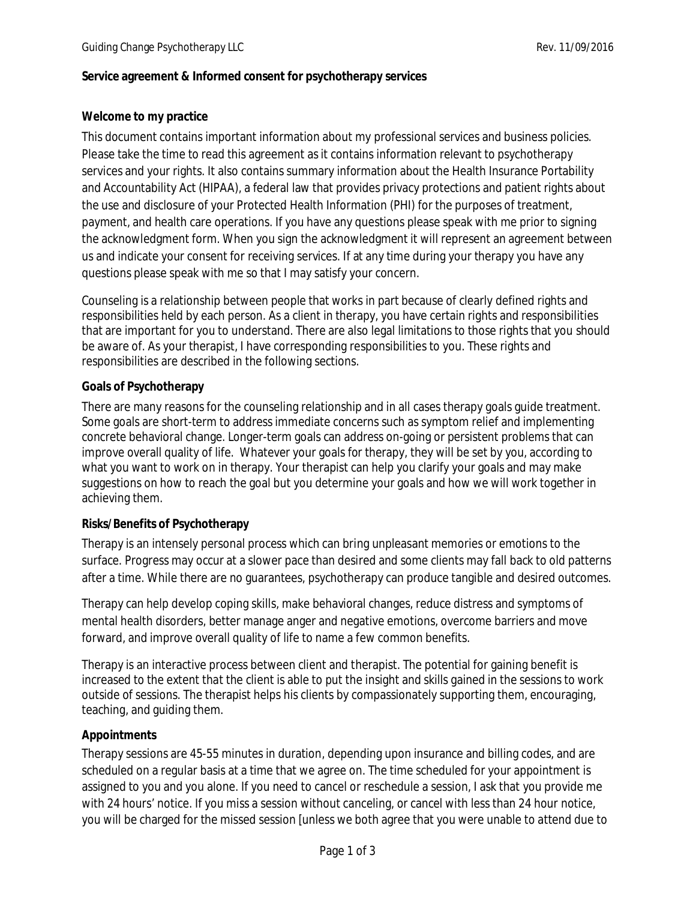## **Service agreement & Informed consent for psychotherapy services**

## **Welcome to my practice**

This document contains important information about my professional services and business policies. Please take the time to read this agreement as it contains information relevant to psychotherapy services and your rights. It also contains summary information about the Health Insurance Portability and Accountability Act (HIPAA), a federal law that provides privacy protections and patient rights about the use and disclosure of your Protected Health Information (PHI) for the purposes of treatment, payment, and health care operations. If you have any questions please speak with me prior to signing the acknowledgment form. When you sign the acknowledgment it will represent an agreement between us and indicate your consent for receiving services. If at any time during your therapy you have any questions please speak with me so that I may satisfy your concern.

Counseling is a relationship between people that works in part because of clearly defined rights and responsibilities held by each person. As a client in therapy, you have certain rights and responsibilities that are important for you to understand. There are also legal limitations to those rights that you should be aware of. As your therapist, I have corresponding responsibilities to you. These rights and responsibilities are described in the following sections.

#### **Goals of Psychotherapy**

There are many reasons for the counseling relationship and in all cases therapy goals guide treatment. Some goals are short-term to address immediate concerns such as symptom relief and implementing concrete behavioral change. Longer-term goals can address on-going or persistent problems that can improve overall quality of life. Whatever your goals for therapy, they will be set by you, according to what you want to work on in therapy. Your therapist can help you clarify your goals and may make suggestions on how to reach the goal but you determine your goals and how we will work together in achieving them.

#### **Risks/Benefits of Psychotherapy**

Therapy is an intensely personal process which can bring unpleasant memories or emotions to the surface. Progress may occur at a slower pace than desired and some clients may fall back to old patterns after a time. While there are no guarantees, psychotherapy can produce tangible and desired outcomes.

Therapy can help develop coping skills, make behavioral changes, reduce distress and symptoms of mental health disorders, better manage anger and negative emotions, overcome barriers and move forward, and improve overall quality of life to name a few common benefits.

Therapy is an interactive process between client and therapist. The potential for gaining benefit is increased to the extent that the client is able to put the insight and skills gained in the sessions to work outside of sessions. The therapist helps his clients by compassionately supporting them, encouraging, teaching, and guiding them.

# **Appointments**

Therapy sessions are 45-55 minutes in duration, depending upon insurance and billing codes, and are scheduled on a regular basis at a time that we agree on. The time scheduled for your appointment is assigned to you and you alone. If you need to cancel or reschedule a session, I ask that you provide me with 24 hours' notice. If you miss a session without canceling, or cancel with less than 24 hour notice, you will be charged for the missed session [unless we both agree that you were unable to attend due to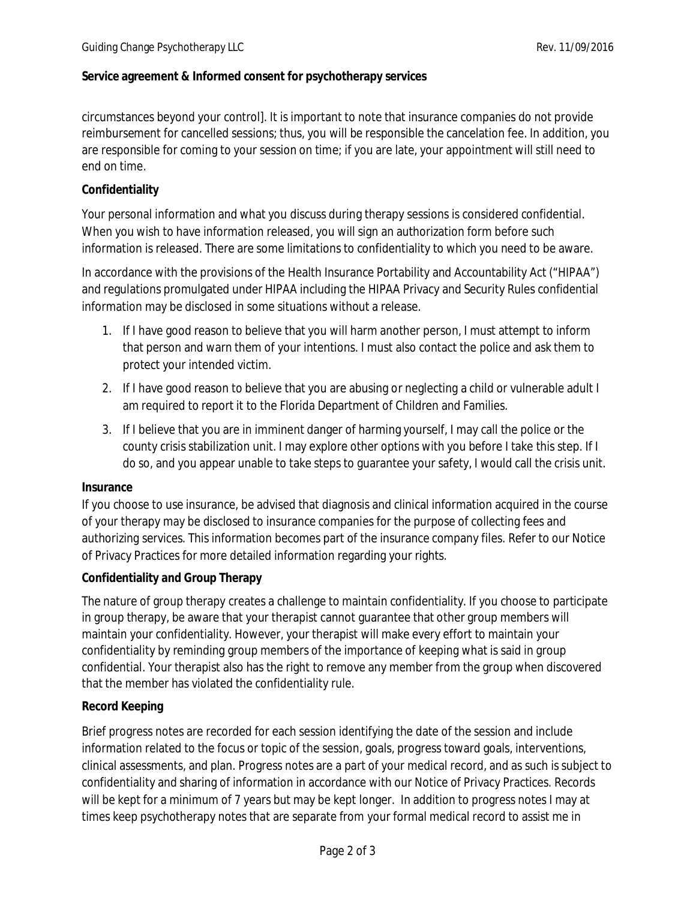## **Service agreement & Informed consent for psychotherapy services**

circumstances beyond your control]. It is important to note that insurance companies do not provide reimbursement for cancelled sessions; thus, you will be responsible the cancelation fee. In addition, you are responsible for coming to your session on time; if you are late, your appointment will still need to end on time.

## **Confidentiality**

Your personal information and what you discuss during therapy sessions is considered confidential. When you wish to have information released, you will sign an authorization form before such information is released. There are some limitations to confidentiality to which you need to be aware.

In accordance with the provisions of the Health Insurance Portability and Accountability Act ("HIPAA") and regulations promulgated under HIPAA including the HIPAA Privacy and Security Rules confidential information may be disclosed in some situations without a release.

- 1. If I have good reason to believe that you will harm another person, I must attempt to inform that person and warn them of your intentions. I must also contact the police and ask them to protect your intended victim.
- 2. If I have good reason to believe that you are abusing or neglecting a child or vulnerable adult I am required to report it to the Florida Department of Children and Families.
- 3. If I believe that you are in imminent danger of harming yourself, I may call the police or the county crisis stabilization unit. I may explore other options with you before I take this step. If I do so, and you appear unable to take steps to guarantee your safety, I would call the crisis unit.

#### **Insurance**

If you choose to use insurance, be advised that diagnosis and clinical information acquired in the course of your therapy may be disclosed to insurance companies for the purpose of collecting fees and authorizing services. This information becomes part of the insurance company files. Refer to our Notice of Privacy Practices for more detailed information regarding your rights.

#### **Confidentiality and Group Therapy**

The nature of group therapy creates a challenge to maintain confidentiality. If you choose to participate in group therapy, be aware that your therapist cannot guarantee that other group members will maintain your confidentiality. However, your therapist will make every effort to maintain your confidentiality by reminding group members of the importance of keeping what is said in group confidential. Your therapist also has the right to remove any member from the group when discovered that the member has violated the confidentiality rule.

#### **Record Keeping**

Brief progress notes are recorded for each session identifying the date of the session and include information related to the focus or topic of the session, goals, progress toward goals, interventions, clinical assessments, and plan. Progress notes are a part of your medical record, and as such is subject to confidentiality and sharing of information in accordance with our Notice of Privacy Practices. Records will be kept for a minimum of 7 years but may be kept longer. In addition to progress notes I may at times keep psychotherapy notes that are separate from your formal medical record to assist me in